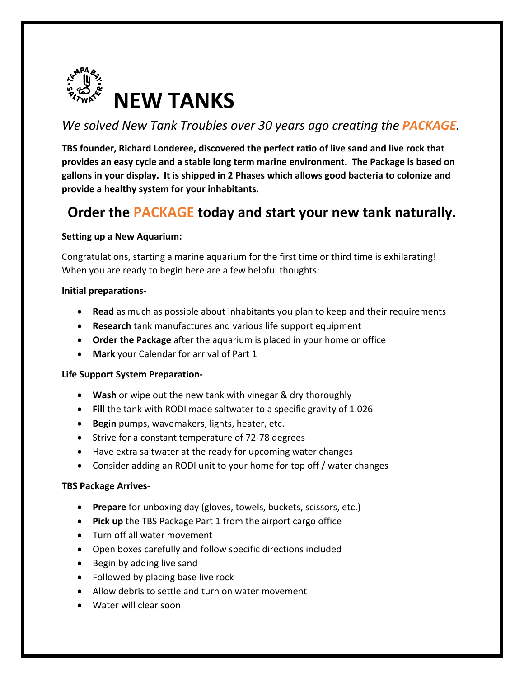

# *We solved New Tank Troubles over 30 years ago creating the PACKAGE.*

**TBS founder, Richard Londeree, discovered the perfect ratio of live sand and live rock that provides an easy cycle and a stable long term marine environment. The Package is based on gallons in your display. It is shipped in 2 Phases which allows good bacteria to colonize and provide a healthy system for your inhabitants.** 

# **Order the PACKAGE today and start your new tank naturally.**

#### **Setting up a New Aquarium:**

Congratulations, starting a marine aquarium for the first time or third time is exhilarating! When you are ready to begin here are a few helpful thoughts:

#### **Initial preparations-**

- **Read** as much as possible about inhabitants you plan to keep and their requirements
- **Research** tank manufactures and various life support equipment
- **Order the Package** after the aquarium is placed in your home or office
- **Mark** your Calendar for arrival of Part 1

#### **Life Support System Preparation-**

- **Wash** or wipe out the new tank with vinegar & dry thoroughly
- **Fill** the tank with RODI made saltwater to a specific gravity of 1.026
- **Begin** pumps, wavemakers, lights, heater, etc.
- Strive for a constant temperature of 72-78 degrees
- Have extra saltwater at the ready for upcoming water changes
- Consider adding an RODI unit to your home for top off / water changes

#### **TBS Package Arrives-**

- **Prepare** for unboxing day (gloves, towels, buckets, scissors, etc.)
- **Pick up** the TBS Package Part 1 from the airport cargo office
- Turn off all water movement
- Open boxes carefully and follow specific directions included
- Begin by adding live sand
- Followed by placing base live rock
- Allow debris to settle and turn on water movement
- Water will clear soon